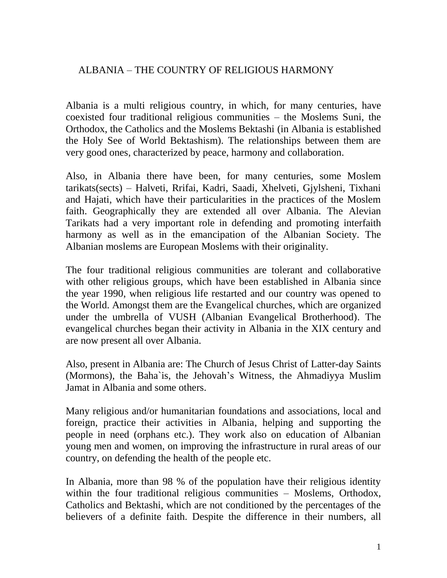## ALBANIA – THE COUNTRY OF RELIGIOUS HARMONY

Albania is a multi religious country, in which, for many centuries, have coexisted four traditional religious communities – the Moslems Suni, the Orthodox, the Catholics and the Moslems Bektashi (in Albania is established the Holy See of World Bektashism). The relationships between them are very good ones, characterized by peace, harmony and collaboration.

Also, in Albania there have been, for many centuries, some Moslem tarikats(sects) – Halveti, Rrifai, Kadri, Saadi, Xhelveti, Gjylsheni, Tixhani and Hajati, which have their particularities in the practices of the Moslem faith. Geographically they are extended all over Albania. The Alevian Tarikats had a very important role in defending and promoting interfaith harmony as well as in the emancipation of the Albanian Society. The Albanian moslems are European Moslems with their originality.

The four traditional religious communities are tolerant and collaborative with other religious groups, which have been established in Albania since the year 1990, when religious life restarted and our country was opened to the World. Amongst them are the Evangelical churches, which are organized under the umbrella of VUSH (Albanian Evangelical Brotherhood). The evangelical churches began their activity in Albania in the XIX century and are now present all over Albania.

Also, present in Albania are: The Church of Jesus Christ of Latter-day Saints (Mormons), the Baha`is, the Jehovah's Witness, the Ahmadiyya Muslim Jamat in Albania and some others.

Many religious and/or humanitarian foundations and associations, local and foreign, practice their activities in Albania, helping and supporting the people in need (orphans etc.). They work also on education of Albanian young men and women, on improving the infrastructure in rural areas of our country, on defending the health of the people etc.

In Albania, more than 98 % of the population have their religious identity within the four traditional religious communities – Moslems, Orthodox, Catholics and Bektashi, which are not conditioned by the percentages of the believers of a definite faith. Despite the difference in their numbers, all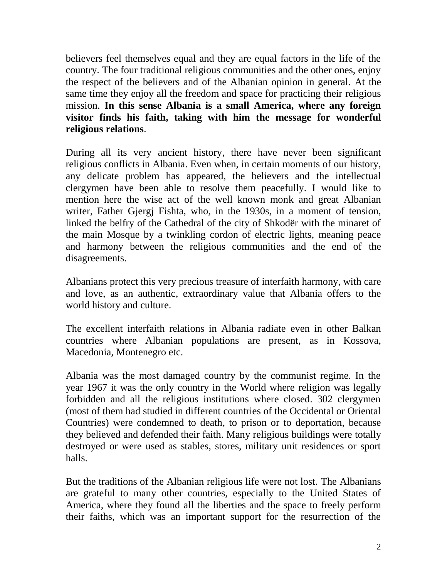believers feel themselves equal and they are equal factors in the life of the country. The four traditional religious communities and the other ones, enjoy the respect of the believers and of the Albanian opinion in general. At the same time they enjoy all the freedom and space for practicing their religious mission. **In this sense Albania is a small America, where any foreign visitor finds his faith, taking with him the message for wonderful religious relations**.

During all its very ancient history, there have never been significant religious conflicts in Albania. Even when, in certain moments of our history, any delicate problem has appeared, the believers and the intellectual clergymen have been able to resolve them peacefully. I would like to mention here the wise act of the well known monk and great Albanian writer, Father Gjergj Fishta, who, in the 1930s, in a moment of tension, linked the belfry of the Cathedral of the city of Shkodër with the minaret of the main Mosque by a twinkling cordon of electric lights, meaning peace and harmony between the religious communities and the end of the disagreements.

Albanians protect this very precious treasure of interfaith harmony, with care and love, as an authentic, extraordinary value that Albania offers to the world history and culture.

The excellent interfaith relations in Albania radiate even in other Balkan countries where Albanian populations are present, as in Kossova, Macedonia, Montenegro etc.

Albania was the most damaged country by the communist regime. In the year 1967 it was the only country in the World where religion was legally forbidden and all the religious institutions where closed. 302 clergymen (most of them had studied in different countries of the Occidental or Oriental Countries) were condemned to death, to prison or to deportation, because they believed and defended their faith. Many religious buildings were totally destroyed or were used as stables, stores, military unit residences or sport halls.

But the traditions of the Albanian religious life were not lost. The Albanians are grateful to many other countries, especially to the United States of America, where they found all the liberties and the space to freely perform their faiths, which was an important support for the resurrection of the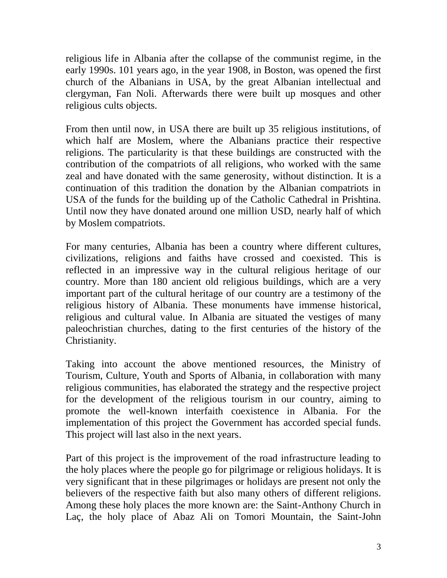religious life in Albania after the collapse of the communist regime, in the early 1990s. 101 years ago, in the year 1908, in Boston, was opened the first church of the Albanians in USA, by the great Albanian intellectual and clergyman, Fan Noli. Afterwards there were built up mosques and other religious cults objects.

From then until now, in USA there are built up 35 religious institutions, of which half are Moslem, where the Albanians practice their respective religions. The particularity is that these buildings are constructed with the contribution of the compatriots of all religions, who worked with the same zeal and have donated with the same generosity, without distinction. It is a continuation of this tradition the donation by the Albanian compatriots in USA of the funds for the building up of the Catholic Cathedral in Prishtina. Until now they have donated around one million USD, nearly half of which by Moslem compatriots.

For many centuries, Albania has been a country where different cultures, civilizations, religions and faiths have crossed and coexisted. This is reflected in an impressive way in the cultural religious heritage of our country. More than 180 ancient old religious buildings, which are a very important part of the cultural heritage of our country are a testimony of the religious history of Albania. These monuments have immense historical, religious and cultural value. In Albania are situated the vestiges of many paleochristian churches, dating to the first centuries of the history of the Christianity.

Taking into account the above mentioned resources, the Ministry of Tourism, Culture, Youth and Sports of Albania, in collaboration with many religious communities, has elaborated the strategy and the respective project for the development of the religious tourism in our country, aiming to promote the well-known interfaith coexistence in Albania. For the implementation of this project the Government has accorded special funds. This project will last also in the next years.

Part of this project is the improvement of the road infrastructure leading to the holy places where the people go for pilgrimage or religious holidays. It is very significant that in these pilgrimages or holidays are present not only the believers of the respective faith but also many others of different religions. Among these holy places the more known are: the Saint-Anthony Church in Laç, the holy place of Abaz Ali on Tomori Mountain, the Saint-John